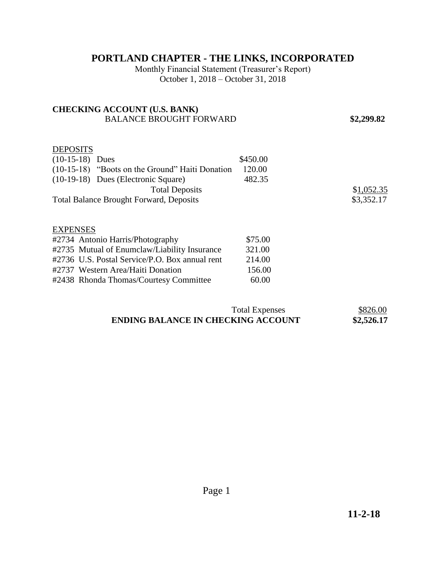## **PORTLAND CHAPTER - THE LINKS, INCORPORATED**

Monthly Financial Statement (Treasurer's Report) October 1, 2018 – October 31, 2018

## **CHECKING ACCOUNT (U.S. BANK)**  BALANCE BROUGHT FORWARD **\$2,299.82 DEPOSITS** (10-15-18) Dues \$450.00 (10-15-18) "Boots on the Ground" Haiti Donation 120.00 (10-19-18) Dues (Electronic Square) 482.35 Total Deposits \$1,052.35 Total Balance Brought Forward, Deposits  $$3,352.17$ EXPENSES #2734 Antonio Harris/Photography \$75.00 #2735 Mutual of Enumclaw/Liability Insurance 321.00 #2736 U.S. Postal Service/P.O. Box annual rent 214.00 #2737 Western Area/Haiti Donation 156.00 #2438 Rhonda Thomas/Courtesy Committee 60.00

| <b>Total Expenses</b>                     | \$826.00   |
|-------------------------------------------|------------|
| <b>ENDING BALANCE IN CHECKING ACCOUNT</b> | \$2,526.17 |